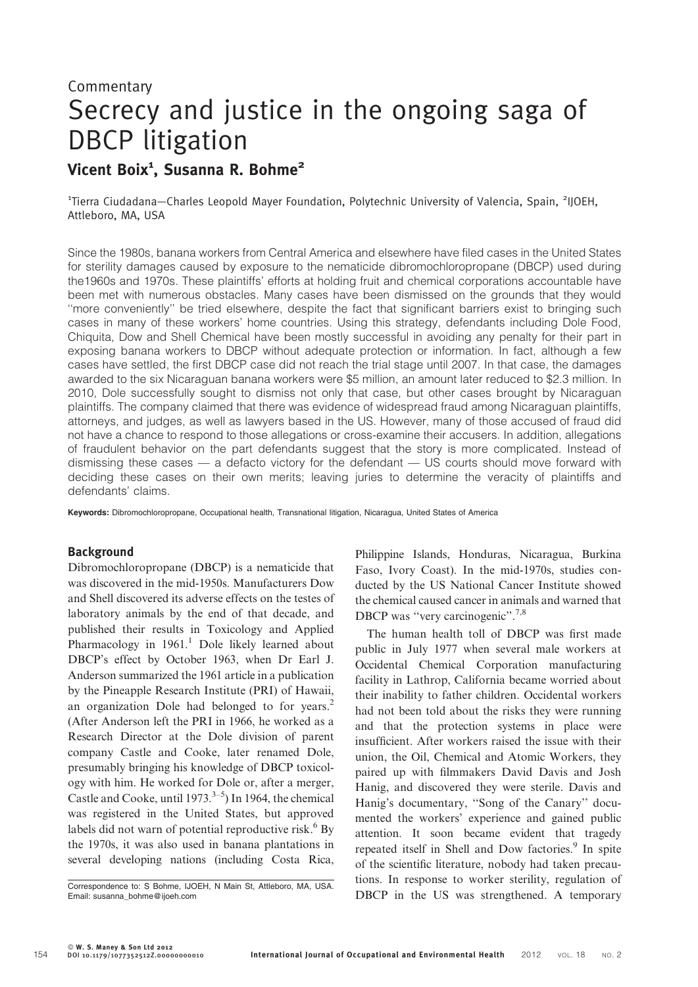# **Commentary** Secrecy and justice in the ongoing saga of DBCP litigation Vicent Boix $^{\tt 1}$ , Susanna R. Bohme $^{\tt 2}$

<sup>1</sup>Tierra Ciudadana–Charles Leopold Mayer Foundation, Polytechnic University of Valencia, Spain, <sup>2</sup>IJOEH, Attleboro, MA, USA

Since the 1980s, banana workers from Central America and elsewhere have filed cases in the United States for sterility damages caused by exposure to the nematicide dibromochloropropane (DBCP) used during the1960s and 1970s. These plaintiffs' efforts at holding fruit and chemical corporations accountable have been met with numerous obstacles. Many cases have been dismissed on the grounds that they would ''more conveniently'' be tried elsewhere, despite the fact that significant barriers exist to bringing such cases in many of these workers' home countries. Using this strategy, defendants including Dole Food, Chiquita, Dow and Shell Chemical have been mostly successful in avoiding any penalty for their part in exposing banana workers to DBCP without adequate protection or information. In fact, although a few cases have settled, the first DBCP case did not reach the trial stage until 2007. In that case, the damages awarded to the six Nicaraguan banana workers were \$5 million, an amount later reduced to \$2.3 million. In 2010, Dole successfully sought to dismiss not only that case, but other cases brought by Nicaraguan plaintiffs. The company claimed that there was evidence of widespread fraud among Nicaraguan plaintiffs, attorneys, and judges, as well as lawyers based in the US. However, many of those accused of fraud did not have a chance to respond to those allegations or cross-examine their accusers. In addition, allegations of fraudulent behavior on the part defendants suggest that the story is more complicated. Instead of dismissing these cases — a defacto victory for the defendant — US courts should move forward with deciding these cases on their own merits; leaving juries to determine the veracity of plaintiffs and defendants' claims.

Keywords: Dibromochloropropane, Occupational health, Transnational litigation, Nicaragua, United States of America

#### Background

Dibromochloropropane (DBCP) is a nematicide that was discovered in the mid-1950s. Manufacturers Dow and Shell discovered its adverse effects on the testes of laboratory animals by the end of that decade, and published their results in Toxicology and Applied Pharmacology in  $1961<sup>1</sup>$  Dole likely learned about DBCP's effect by October 1963, when Dr Earl J. Anderson summarized the 1961 article in a publication by the Pineapple Research Institute (PRI) of Hawaii, an organization Dole had belonged to for years.<sup>2</sup> (After Anderson left the PRI in 1966, he worked as a Research Director at the Dole division of parent company Castle and Cooke, later renamed Dole, presumably bringing his knowledge of DBCP toxicology with him. He worked for Dole or, after a merger, Castle and Cooke, until  $1973^{3-5}$ ) In 1964, the chemical was registered in the United States, but approved labels did not warn of potential reproductive risk. $6$  By the 1970s, it was also used in banana plantations in several developing nations (including Costa Rica,

Philippine Islands, Honduras, Nicaragua, Burkina Faso, Ivory Coast). In the mid-1970s, studies conducted by the US National Cancer Institute showed the chemical caused cancer in animals and warned that DBCP was "very carcinogenic".<sup>7,8</sup>

The human health toll of DBCP was first made public in July 1977 when several male workers at Occidental Chemical Corporation manufacturing facility in Lathrop, California became worried about their inability to father children. Occidental workers had not been told about the risks they were running and that the protection systems in place were insufficient. After workers raised the issue with their union, the Oil, Chemical and Atomic Workers, they paired up with filmmakers David Davis and Josh Hanig, and discovered they were sterile. Davis and Hanig's documentary, ''Song of the Canary'' documented the workers' experience and gained public attention. It soon became evident that tragedy repeated itself in Shell and Dow factories.<sup>9</sup> In spite of the scientific literature, nobody had taken precautions. In response to worker sterility, regulation of Correspondence to: S Bohme, IJOEH, N Main St, Attleboro, MA, USA.<br>Email: susanna\_bohme@ijoeh.com **DBCP** in the US was strengthened. A temporary

Email: susanna\_bohme@ijoeh.com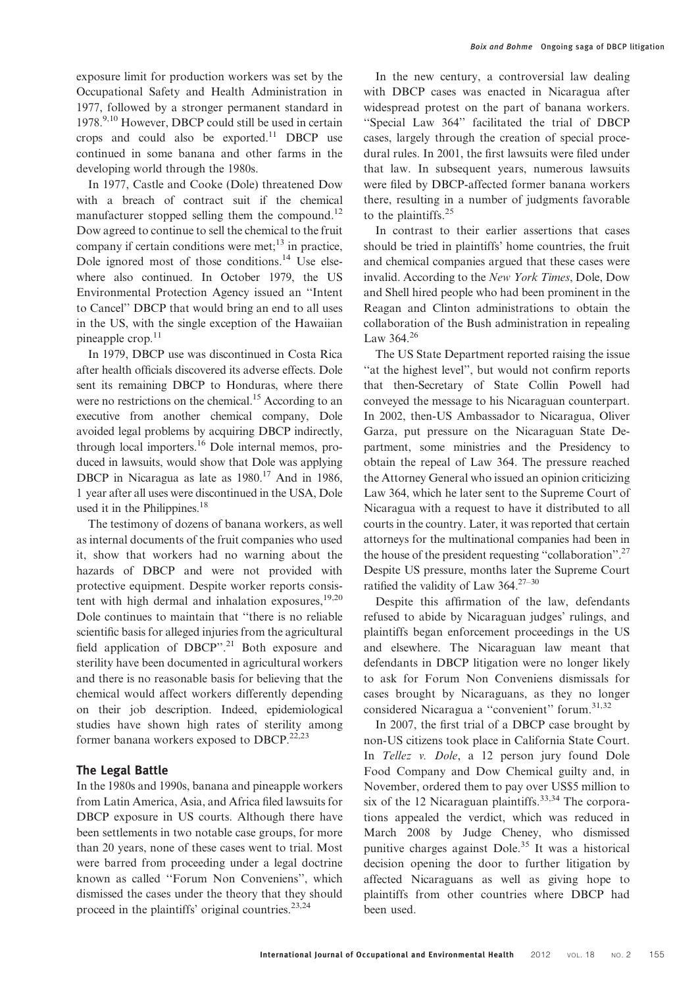exposure limit for production workers was set by the Occupational Safety and Health Administration in 1977, followed by a stronger permanent standard in  $1978.<sup>9,10</sup>$  However, DBCP could still be used in certain crops and could also be exported. $11$  DBCP use continued in some banana and other farms in the developing world through the 1980s.

In 1977, Castle and Cooke (Dole) threatened Dow with a breach of contract suit if the chemical manufacturer stopped selling them the compound.<sup>12</sup> Dow agreed to continue to sell the chemical to the fruit company if certain conditions were met; $^{13}$  in practice, Dole ignored most of those conditions.14 Use elsewhere also continued. In October 1979, the US Environmental Protection Agency issued an ''Intent to Cancel'' DBCP that would bring an end to all uses in the US, with the single exception of the Hawaiian pineapple  $\text{crop.}^{11}$ 

In 1979, DBCP use was discontinued in Costa Rica after health officials discovered its adverse effects. Dole sent its remaining DBCP to Honduras, where there were no restrictions on the chemical.<sup>15</sup> According to an executive from another chemical company, Dole avoided legal problems by acquiring DBCP indirectly, through local importers.<sup>16</sup> Dole internal memos, produced in lawsuits, would show that Dole was applying DBCP in Nicaragua as late as  $1980<sup>17</sup>$  And in 1986, 1 year after all uses were discontinued in the USA, Dole used it in the Philippines. $18$ 

The testimony of dozens of banana workers, as well as internal documents of the fruit companies who used it, show that workers had no warning about the hazards of DBCP and were not provided with protective equipment. Despite worker reports consistent with high dermal and inhalation exposures, $19,20$ Dole continues to maintain that ''there is no reliable scientific basis for alleged injuries from the agricultural field application of DBCP".<sup>21</sup> Both exposure and sterility have been documented in agricultural workers and there is no reasonable basis for believing that the chemical would affect workers differently depending on their job description. Indeed, epidemiological studies have shown high rates of sterility among former banana workers exposed to  $DBCP$ .<sup>22,23</sup>

# The Legal Battle

In the 1980s and 1990s, banana and pineapple workers from Latin America, Asia, and Africa filed lawsuits for DBCP exposure in US courts. Although there have been settlements in two notable case groups, for more than 20 years, none of these cases went to trial. Most were barred from proceeding under a legal doctrine known as called ''Forum Non Conveniens'', which dismissed the cases under the theory that they should proceed in the plaintiffs' original countries. $2^{3,24}$ 

In the new century, a controversial law dealing with DBCP cases was enacted in Nicaragua after widespread protest on the part of banana workers. ''Special Law 364'' facilitated the trial of DBCP cases, largely through the creation of special procedural rules. In 2001, the first lawsuits were filed under that law. In subsequent years, numerous lawsuits were filed by DBCP-affected former banana workers there, resulting in a number of judgments favorable to the plaintiffs.<sup>25</sup>

In contrast to their earlier assertions that cases should be tried in plaintiffs' home countries, the fruit and chemical companies argued that these cases were invalid. According to the New York Times, Dole, Dow and Shell hired people who had been prominent in the Reagan and Clinton administrations to obtain the collaboration of the Bush administration in repealing Law 364.<sup>26</sup>

The US State Department reported raising the issue ''at the highest level'', but would not confirm reports that then-Secretary of State Collin Powell had conveyed the message to his Nicaraguan counterpart. In 2002, then-US Ambassador to Nicaragua, Oliver Garza, put pressure on the Nicaraguan State Department, some ministries and the Presidency to obtain the repeal of Law 364. The pressure reached the Attorney General who issued an opinion criticizing Law 364, which he later sent to the Supreme Court of Nicaragua with a request to have it distributed to all courts in the country. Later, it was reported that certain attorneys for the multinational companies had been in the house of the president requesting ''collaboration''.27 Despite US pressure, months later the Supreme Court ratified the validity of Law  $364.^{27-30}$ 

Despite this affirmation of the law, defendants refused to abide by Nicaraguan judges' rulings, and plaintiffs began enforcement proceedings in the US and elsewhere. The Nicaraguan law meant that defendants in DBCP litigation were no longer likely to ask for Forum Non Conveniens dismissals for cases brought by Nicaraguans, as they no longer considered Nicaragua a "convenient" forum.<sup>31,32</sup>

In 2007, the first trial of a DBCP case brought by non-US citizens took place in California State Court. In Tellez v. Dole, a 12 person jury found Dole Food Company and Dow Chemical guilty and, in November, ordered them to pay over US\$5 million to six of the 12 Nicaraguan plaintiffs.<sup>33,34</sup> The corporations appealed the verdict, which was reduced in March 2008 by Judge Cheney, who dismissed punitive charges against Dole.<sup>35</sup> It was a historical decision opening the door to further litigation by affected Nicaraguans as well as giving hope to plaintiffs from other countries where DBCP had been used.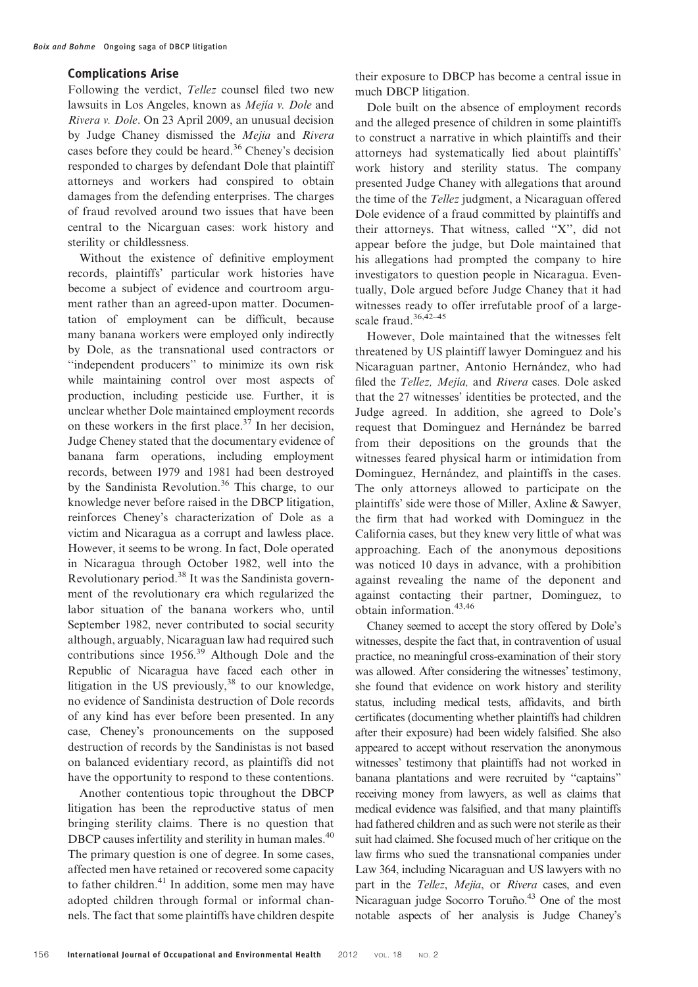## Complications Arise

Following the verdict, Tellez counsel filed two new lawsuits in Los Angeles, known as *Mejia v. Dole* and Rivera v. Dole. On 23 April 2009, an unusual decision by Judge Chaney dismissed the Mejia and Rivera cases before they could be heard.<sup>36</sup> Cheney's decision responded to charges by defendant Dole that plaintiff attorneys and workers had conspired to obtain damages from the defending enterprises. The charges of fraud revolved around two issues that have been central to the Nicarguan cases: work history and sterility or childlessness.

Without the existence of definitive employment records, plaintiffs' particular work histories have become a subject of evidence and courtroom argument rather than an agreed-upon matter. Documentation of employment can be difficult, because many banana workers were employed only indirectly by Dole, as the transnational used contractors or ''independent producers'' to minimize its own risk while maintaining control over most aspects of production, including pesticide use. Further, it is unclear whether Dole maintained employment records on these workers in the first place. $37$  In her decision, Judge Cheney stated that the documentary evidence of banana farm operations, including employment records, between 1979 and 1981 had been destroyed by the Sandinista Revolution.<sup>36</sup> This charge, to our knowledge never before raised in the DBCP litigation, reinforces Cheney's characterization of Dole as a victim and Nicaragua as a corrupt and lawless place. However, it seems to be wrong. In fact, Dole operated in Nicaragua through October 1982, well into the Revolutionary period.38 It was the Sandinista government of the revolutionary era which regularized the labor situation of the banana workers who, until September 1982, never contributed to social security although, arguably, Nicaraguan law had required such contributions since 1956.<sup>39</sup> Although Dole and the Republic of Nicaragua have faced each other in litigation in the US previously,  $38$  to our knowledge, no evidence of Sandinista destruction of Dole records of any kind has ever before been presented. In any case, Cheney's pronouncements on the supposed destruction of records by the Sandinistas is not based on balanced evidentiary record, as plaintiffs did not have the opportunity to respond to these contentions.

Another contentious topic throughout the DBCP litigation has been the reproductive status of men bringing sterility claims. There is no question that DBCP causes infertility and sterility in human males.<sup>40</sup> The primary question is one of degree. In some cases, affected men have retained or recovered some capacity to father children.<sup>41</sup> In addition, some men may have adopted children through formal or informal channels. The fact that some plaintiffs have children despite

their exposure to DBCP has become a central issue in much DBCP litigation.

Dole built on the absence of employment records and the alleged presence of children in some plaintiffs to construct a narrative in which plaintiffs and their attorneys had systematically lied about plaintiffs' work history and sterility status. The company presented Judge Chaney with allegations that around the time of the Tellez judgment, a Nicaraguan offered Dole evidence of a fraud committed by plaintiffs and their attorneys. That witness, called ''X'', did not appear before the judge, but Dole maintained that his allegations had prompted the company to hire investigators to question people in Nicaragua. Eventually, Dole argued before Judge Chaney that it had witnesses ready to offer irrefutable proof of a largescale fraud.36,42–45

However, Dole maintained that the witnesses felt threatened by US plaintiff lawyer Dominguez and his Nicaraguan partner, Antonio Hernández, who had filed the Tellez, Mejía, and Rivera cases. Dole asked that the 27 witnesses' identities be protected, and the Judge agreed. In addition, she agreed to Dole's request that Dominguez and Hernández be barred from their depositions on the grounds that the witnesses feared physical harm or intimidation from Dominguez, Hernández, and plaintiffs in the cases. The only attorneys allowed to participate on the plaintiffs' side were those of Miller, Axline & Sawyer, the firm that had worked with Dominguez in the California cases, but they knew very little of what was approaching. Each of the anonymous depositions was noticed 10 days in advance, with a prohibition against revealing the name of the deponent and against contacting their partner, Dominguez, to obtain information.<sup>43,46</sup>

Chaney seemed to accept the story offered by Dole's witnesses, despite the fact that, in contravention of usual practice, no meaningful cross-examination of their story was allowed. After considering the witnesses' testimony, she found that evidence on work history and sterility status, including medical tests, affidavits, and birth certificates (documenting whether plaintiffs had children after their exposure) had been widely falsified. She also appeared to accept without reservation the anonymous witnesses' testimony that plaintiffs had not worked in banana plantations and were recruited by ''captains'' receiving money from lawyers, as well as claims that medical evidence was falsified, and that many plaintiffs had fathered children and as such were not sterile as their suit had claimed. She focused much of her critique on the law firms who sued the transnational companies under Law 364, including Nicaraguan and US lawyers with no part in the Tellez, Mejia, or Rivera cases, and even Nicaraguan judge Socorro Toruño.<sup>43</sup> One of the most notable aspects of her analysis is Judge Chaney's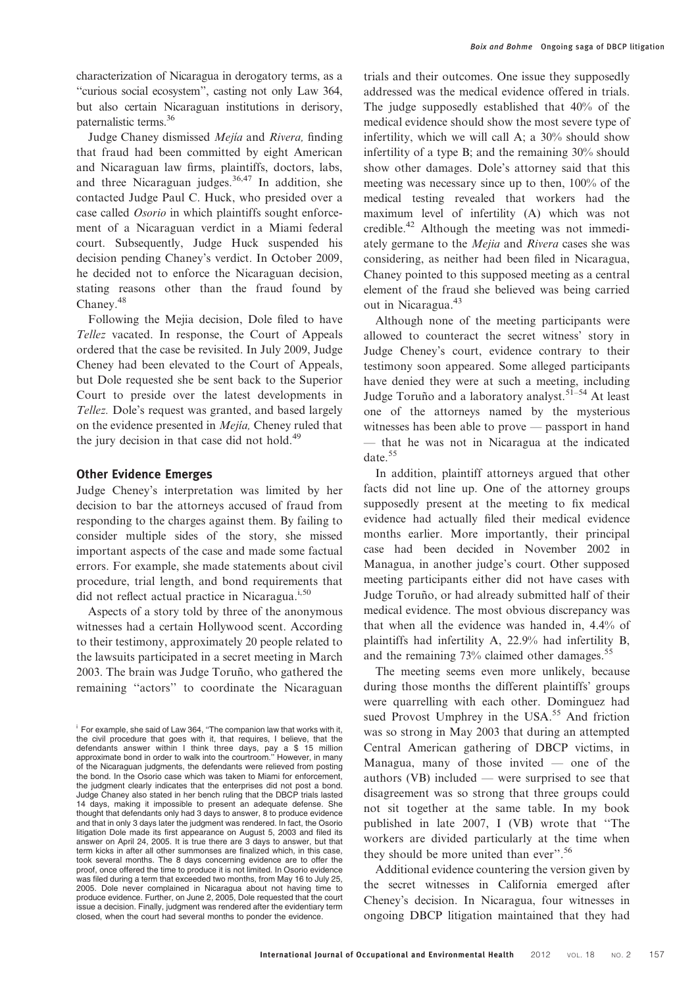characterization of Nicaragua in derogatory terms, as a ''curious social ecosystem'', casting not only Law 364, but also certain Nicaraguan institutions in derisory, paternalistic terms.<sup>36</sup>

Judge Chaney dismissed *Mejia* and Rivera, finding that fraud had been committed by eight American and Nicaraguan law firms, plaintiffs, doctors, labs, and three Nicaraguan judges.<sup>36,47</sup> In addition, she contacted Judge Paul C. Huck, who presided over a case called Osorio in which plaintiffs sought enforcement of a Nicaraguan verdict in a Miami federal court. Subsequently, Judge Huck suspended his decision pending Chaney's verdict. In October 2009, he decided not to enforce the Nicaraguan decision, stating reasons other than the fraud found by Chaney.<sup>48</sup>

Following the Mejia decision, Dole filed to have Tellez vacated. In response, the Court of Appeals ordered that the case be revisited. In July 2009, Judge Cheney had been elevated to the Court of Appeals, but Dole requested she be sent back to the Superior Court to preside over the latest developments in Tellez. Dole's request was granted, and based largely on the evidence presented in Mejía, Cheney ruled that the jury decision in that case did not hold.<sup>49</sup>

### Other Evidence Emerges

Judge Cheney's interpretation was limited by her decision to bar the attorneys accused of fraud from responding to the charges against them. By failing to consider multiple sides of the story, she missed important aspects of the case and made some factual errors. For example, she made statements about civil procedure, trial length, and bond requirements that did not reflect actual practice in Nicaragua.<sup>i,50</sup>

Aspects of a story told by three of the anonymous witnesses had a certain Hollywood scent. According to their testimony, approximately 20 people related to the lawsuits participated in a secret meeting in March 2003. The brain was Judge Toruño, who gathered the remaining ''actors'' to coordinate the Nicaraguan

trials and their outcomes. One issue they supposedly addressed was the medical evidence offered in trials. The judge supposedly established that 40% of the medical evidence should show the most severe type of infertility, which we will call A; a 30% should show infertility of a type B; and the remaining 30% should show other damages. Dole's attorney said that this meeting was necessary since up to then, 100% of the medical testing revealed that workers had the maximum level of infertility (A) which was not credible.42 Although the meeting was not immediately germane to the Mejia and Rivera cases she was considering, as neither had been filed in Nicaragua, Chaney pointed to this supposed meeting as a central element of the fraud she believed was being carried out in Nicaragua.<sup>43</sup>

Although none of the meeting participants were allowed to counteract the secret witness' story in Judge Cheney's court, evidence contrary to their testimony soon appeared. Some alleged participants have denied they were at such a meeting, including Judge Toruño and a laboratory analyst.<sup>51–54</sup> At least one of the attorneys named by the mysterious witnesses has been able to prove — passport in hand — that he was not in Nicaragua at the indicated date.<sup>55</sup>

In addition, plaintiff attorneys argued that other facts did not line up. One of the attorney groups supposedly present at the meeting to fix medical evidence had actually filed their medical evidence months earlier. More importantly, their principal case had been decided in November 2002 in Managua, in another judge's court. Other supposed meeting participants either did not have cases with Judge Toruño, or had already submitted half of their medical evidence. The most obvious discrepancy was that when all the evidence was handed in, 4.4% of plaintiffs had infertility A, 22.9% had infertility B, and the remaining 73% claimed other damages.<sup>55</sup>

The meeting seems even more unlikely, because during those months the different plaintiffs' groups were quarrelling with each other. Dominguez had sued Provost Umphrey in the USA.<sup>55</sup> And friction was so strong in May 2003 that during an attempted Central American gathering of DBCP victims, in Managua, many of those invited — one of the authors (VB) included — were surprised to see that disagreement was so strong that three groups could not sit together at the same table. In my book published in late 2007, I (VB) wrote that ''The workers are divided particularly at the time when they should be more united than ever''.<sup>56</sup>

Additional evidence countering the version given by the secret witnesses in California emerged after Cheney's decision. In Nicaragua, four witnesses in ongoing DBCP litigation maintained that they had

<sup>&</sup>lt;sup>i</sup> For example, she said of Law 364, "The companion law that works with it, the civil procedure that goes with it, that requires, I believe, that the defendants answer within I think three days, pay a \$ 15 million approximate bond in order to walk into the courtroom.'' However, in many of the Nicaraguan judgments, the defendants were relieved from posting the bond. In the Osorio case which was taken to Miami for enforcement, the judgment clearly indicates that the enterprises did not post a bond. Judge Chaney also stated in her bench ruling that the DBCP trials lasted 14 days, making it impossible to present an adequate defense. She thought that defendants only had 3 days to answer, 8 to produce evidence and that in only 3 days later the judgment was rendered. In fact, the Osorio litigation Dole made its first appearance on August 5, 2003 and filed its answer on April 24, 2005. It is true there are 3 days to answer, but that term kicks in after all other summonses are finalized which, in this case, took several months. The 8 days concerning evidence are to offer the proof, once offered the time to produce it is not limited. In Osorio evidence was filed during a term that exceeded two months, from May 16 to July 25, 2005. Dole never complained in Nicaragua about not having time to produce evidence. Further, on June 2, 2005, Dole requested that the court issue a decision. Finally, judgment was rendered after the evidentiary term closed, when the court had several months to ponder the evidence.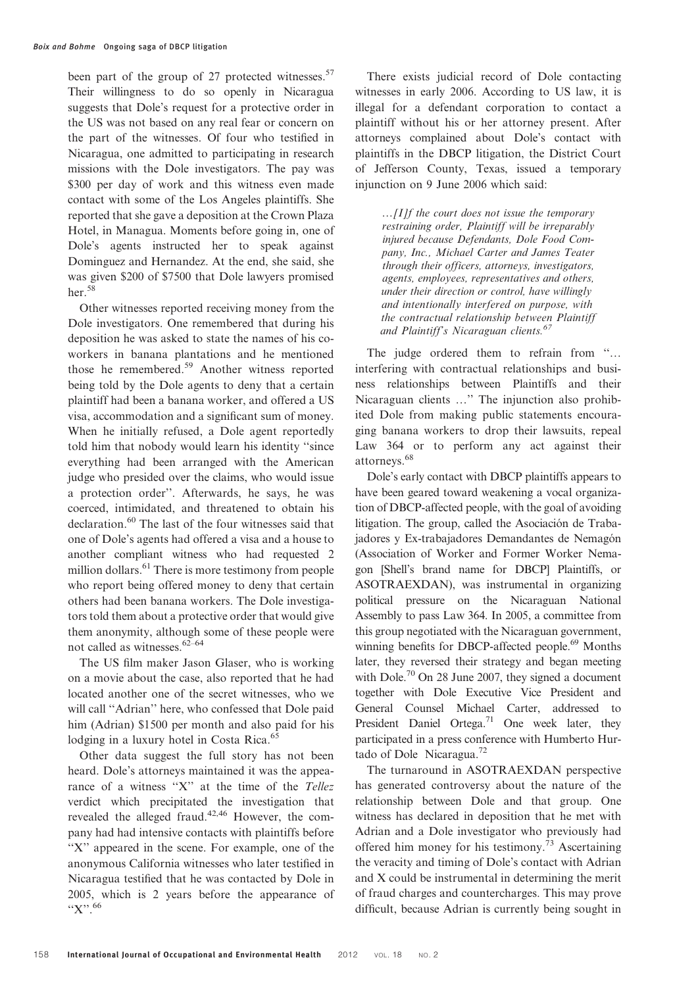been part of the group of 27 protected witnesses.<sup>57</sup> Their willingness to do so openly in Nicaragua suggests that Dole's request for a protective order in the US was not based on any real fear or concern on the part of the witnesses. Of four who testified in Nicaragua, one admitted to participating in research missions with the Dole investigators. The pay was \$300 per day of work and this witness even made contact with some of the Los Angeles plaintiffs. She reported that she gave a deposition at the Crown Plaza Hotel, in Managua. Moments before going in, one of Dole's agents instructed her to speak against Dominguez and Hernandez. At the end, she said, she was given \$200 of \$7500 that Dole lawyers promised her.<sup>58</sup>

Other witnesses reported receiving money from the Dole investigators. One remembered that during his deposition he was asked to state the names of his coworkers in banana plantations and he mentioned those he remembered.<sup>59</sup> Another witness reported being told by the Dole agents to deny that a certain plaintiff had been a banana worker, and offered a US visa, accommodation and a significant sum of money. When he initially refused, a Dole agent reportedly told him that nobody would learn his identity ''since everything had been arranged with the American judge who presided over the claims, who would issue a protection order''. Afterwards, he says, he was coerced, intimidated, and threatened to obtain his declaration.<sup>60</sup> The last of the four witnesses said that one of Dole's agents had offered a visa and a house to another compliant witness who had requested 2 million dollars.<sup>61</sup> There is more testimony from people who report being offered money to deny that certain others had been banana workers. The Dole investigators told them about a protective order that would give them anonymity, although some of these people were not called as witnesses.62–64

The US film maker Jason Glaser, who is working on a movie about the case, also reported that he had located another one of the secret witnesses, who we will call "Adrian" here, who confessed that Dole paid him (Adrian) \$1500 per month and also paid for his lodging in a luxury hotel in Costa Rica.<sup>65</sup>

Other data suggest the full story has not been heard. Dole's attorneys maintained it was the appearance of a witness "X" at the time of the Tellez verdict which precipitated the investigation that revealed the alleged fraud.42,46 However, the company had had intensive contacts with plaintiffs before "X" appeared in the scene. For example, one of the anonymous California witnesses who later testified in Nicaragua testified that he was contacted by Dole in 2005, which is 2 years before the appearance of  $"X"$ . 66

There exists judicial record of Dole contacting witnesses in early 2006. According to US law, it is illegal for a defendant corporation to contact a plaintiff without his or her attorney present. After attorneys complained about Dole's contact with plaintiffs in the DBCP litigation, the District Court of Jefferson County, Texas, issued a temporary injunction on 9 June 2006 which said:

…[I]f the court does not issue the temporary restraining order, Plaintiff will be irreparably injured because Defendants, Dole Food Company, Inc., Michael Carter and James Teater through their officers, attorneys, investigators, agents, employees, representatives and others, under their direction or control, have willingly and intentionally interfered on purpose, with the contractual relationship between Plaintiff and Plaintiff's Nicaraguan clients. $67$ 

The judge ordered them to refrain from "... interfering with contractual relationships and business relationships between Plaintiffs and their Nicaraguan clients …'' The injunction also prohibited Dole from making public statements encouraging banana workers to drop their lawsuits, repeal Law 364 or to perform any act against their attorneys.<sup>68</sup>

Dole's early contact with DBCP plaintiffs appears to have been geared toward weakening a vocal organization of DBCP-affected people, with the goal of avoiding litigation. The group, called the Asociación de Trabajadores y Ex-trabajadores Demandantes de Nemagón (Association of Worker and Former Worker Nemagon [Shell's brand name for DBCP] Plaintiffs, or ASOTRAEXDAN), was instrumental in organizing political pressure on the Nicaraguan National Assembly to pass Law 364. In 2005, a committee from this group negotiated with the Nicaraguan government, winning benefits for DBCP-affected people.<sup>69</sup> Months later, they reversed their strategy and began meeting with Dole.<sup>70</sup> On 28 June 2007, they signed a document together with Dole Executive Vice President and General Counsel Michael Carter, addressed to President Daniel Ortega.<sup>71</sup> One week later, they participated in a press conference with Humberto Hurtado of Dole Nicaragua.72

The turnaround in ASOTRAEXDAN perspective has generated controversy about the nature of the relationship between Dole and that group. One witness has declared in deposition that he met with Adrian and a Dole investigator who previously had offered him money for his testimony.<sup>73</sup> Ascertaining the veracity and timing of Dole's contact with Adrian and X could be instrumental in determining the merit of fraud charges and countercharges. This may prove difficult, because Adrian is currently being sought in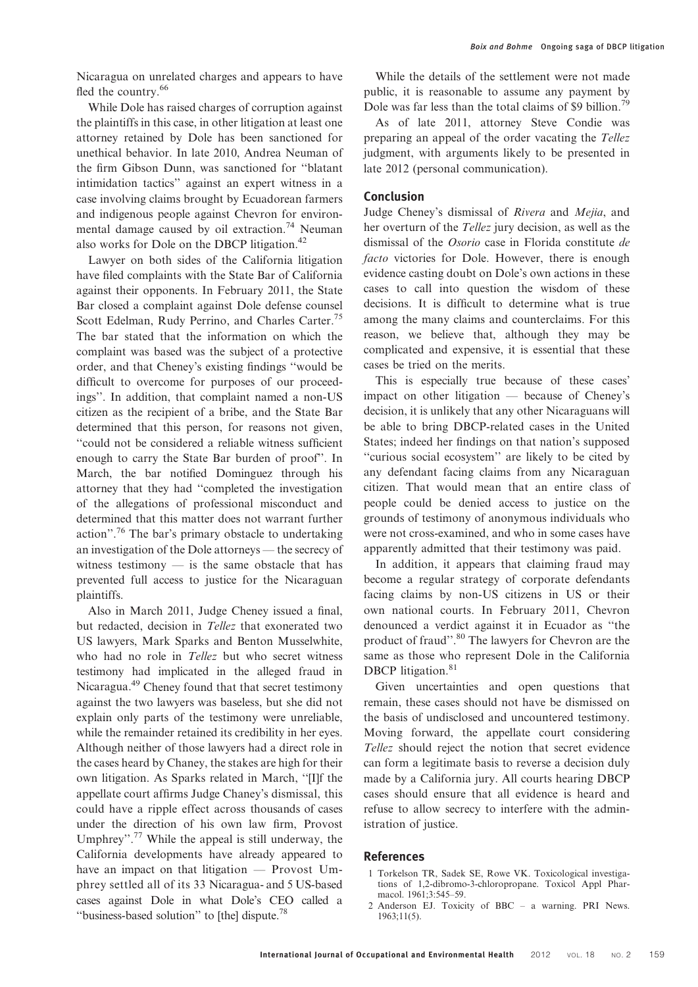Nicaragua on unrelated charges and appears to have fled the country.<sup>66</sup>

While Dole has raised charges of corruption against the plaintiffs in this case, in other litigation at least one attorney retained by Dole has been sanctioned for unethical behavior. In late 2010, Andrea Neuman of the firm Gibson Dunn, was sanctioned for ''blatant intimidation tactics'' against an expert witness in a case involving claims brought by Ecuadorean farmers and indigenous people against Chevron for environmental damage caused by oil extraction.<sup>74</sup> Neuman also works for Dole on the DBCP litigation.<sup>42</sup>

Lawyer on both sides of the California litigation have filed complaints with the State Bar of California against their opponents. In February 2011, the State Bar closed a complaint against Dole defense counsel Scott Edelman, Rudy Perrino, and Charles Carter.<sup>75</sup> The bar stated that the information on which the complaint was based was the subject of a protective order, and that Cheney's existing findings ''would be difficult to overcome for purposes of our proceedings''. In addition, that complaint named a non-US citizen as the recipient of a bribe, and the State Bar determined that this person, for reasons not given, ''could not be considered a reliable witness sufficient enough to carry the State Bar burden of proof''. In March, the bar notified Dominguez through his attorney that they had ''completed the investigation of the allegations of professional misconduct and determined that this matter does not warrant further action".<sup>76</sup> The bar's primary obstacle to undertaking an investigation of the Dole attorneys — the secrecy of witness testimony  $-$  is the same obstacle that has prevented full access to justice for the Nicaraguan plaintiffs.

Also in March 2011, Judge Cheney issued a final, but redacted, decision in Tellez that exonerated two US lawyers, Mark Sparks and Benton Musselwhite, who had no role in Tellez but who secret witness testimony had implicated in the alleged fraud in Nicaragua.49 Cheney found that that secret testimony against the two lawyers was baseless, but she did not explain only parts of the testimony were unreliable, while the remainder retained its credibility in her eyes. Although neither of those lawyers had a direct role in the cases heard by Chaney, the stakes are high for their own litigation. As Sparks related in March, ''[I]f the appellate court affirms Judge Chaney's dismissal, this could have a ripple effect across thousands of cases under the direction of his own law firm, Provost Umphrey".<sup>77</sup> While the appeal is still underway, the California developments have already appeared to have an impact on that litigation — Provost Umphrey settled all of its 33 Nicaragua- and 5 US-based cases against Dole in what Dole's CEO called a "business-based solution" to [the] dispute.<sup>78</sup>

While the details of the settlement were not made public, it is reasonable to assume any payment by Dole was far less than the total claims of \$9 billion.<sup>79</sup>

As of late 2011, attorney Steve Condie was preparing an appeal of the order vacating the Tellez judgment, with arguments likely to be presented in late 2012 (personal communication).

#### Conclusion

Judge Cheney's dismissal of Rivera and Mejia, and her overturn of the Tellez jury decision, as well as the dismissal of the Osorio case in Florida constitute de facto victories for Dole. However, there is enough evidence casting doubt on Dole's own actions in these cases to call into question the wisdom of these decisions. It is difficult to determine what is true among the many claims and counterclaims. For this reason, we believe that, although they may be complicated and expensive, it is essential that these cases be tried on the merits.

This is especially true because of these cases' impact on other litigation — because of Cheney's decision, it is unlikely that any other Nicaraguans will be able to bring DBCP-related cases in the United States; indeed her findings on that nation's supposed ''curious social ecosystem'' are likely to be cited by any defendant facing claims from any Nicaraguan citizen. That would mean that an entire class of people could be denied access to justice on the grounds of testimony of anonymous individuals who were not cross-examined, and who in some cases have apparently admitted that their testimony was paid.

In addition, it appears that claiming fraud may become a regular strategy of corporate defendants facing claims by non-US citizens in US or their own national courts. In February 2011, Chevron denounced a verdict against it in Ecuador as ''the product of fraud''.<sup>80</sup> The lawyers for Chevron are the same as those who represent Dole in the California DBCP litigation.<sup>81</sup>

Given uncertainties and open questions that remain, these cases should not have be dismissed on the basis of undisclosed and uncountered testimony. Moving forward, the appellate court considering Tellez should reject the notion that secret evidence can form a legitimate basis to reverse a decision duly made by a California jury. All courts hearing DBCP cases should ensure that all evidence is heard and refuse to allow secrecy to interfere with the administration of justice.

### References

- 1 Torkelson TR, Sadek SE, Rowe VK. Toxicological investigations of 1,2-dibromo-3-chloropropane. Toxicol Appl Pharmacol. 1961;3:545–59.
- 2 Anderson EJ. Toxicity of BBC a warning. PRI News. 1963;11(5).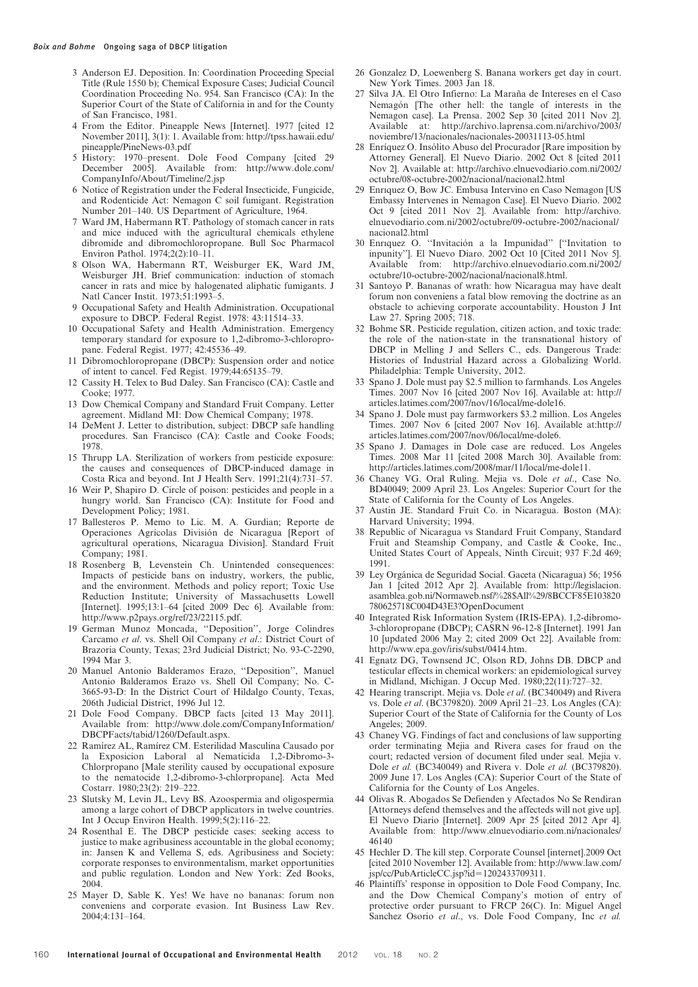- 3 Anderson EJ. Deposition. In: Coordination Proceeding Special Title (Rule 1550 b); Chemical Exposure Cases; Judicial Council Coordination Proceeding No. 954. San Francisco (CA): In the Superior Court of the State of California in and for the County of San Francisco, 1981.
- 4 From the Editor. Pineapple News [Internet]. 1977 [cited 12 November 2011], 3(1): 1. Available from: http://tpss.hawaii.edu/ pineapple/PineNews-03.pdf
- 5 History: 1970–present. Dole Food Company [cited 29 December 2005]. Available from: http://www.dole.com/ CompanyInfo/About/Timeline/2.jsp
- 6 Notice of Registration under the Federal Insecticide, Fungicide, and Rodenticide Act: Nemagon C soil fumigant. Registration Number 201–140. US Department of Agriculture, 1964.
- 7 Ward JM, Habermann RT. Pathology of stomach cancer in rats and mice induced with the agricultural chemicals ethylene dibromide and dibromochloropropane. Bull Soc Pharmacol Environ Pathol. 1974;2(2):10–11.
- 8 Olson WA, Habermann RT, Weisburger EK, Ward JM, Weisburger JH. Brief communication: induction of stomach cancer in rats and mice by halogenated aliphatic fumigants. J Natl Cancer Instit. 1973;51:1993–5.
- 9 Occupational Safety and Health Administration. Occupational exposure to DBCP. Federal Regist. 1978: 43:11514–33.
- 10 Occupational Safety and Health Administration. Emergency temporary standard for exposure to 1,2-dibromo-3-chloropropane. Federal Regist. 1977; 42:45536–49.
- 11 Dibromochloropropane (DBCP): Suspension order and notice of intent to cancel. Fed Regist. 1979;44:65135–79.
- 12 Cassity H. Telex to Bud Daley. San Francisco (CA): Castle and Cooke; 1977.
- 13 Dow Chemical Company and Standard Fruit Company. Letter agreement. Midland MI: Dow Chemical Company; 1978.
- 14 DeMent J. Letter to distribution, subject: DBCP safe handling procedures. San Francisco (CA): Castle and Cooke Foods; 1978.
- 15 Thrupp LA. Sterilization of workers from pesticide exposure: the causes and consequences of DBCP-induced damage in Costa Rica and beyond. Int J Health Serv. 1991;21(4):731–57.
- 16 Weir P, Shapiro D. Circle of poison: pesticides and people in a hungry world. San Francisco (CA): Institute for Food and Development Policy; 1981.
- 17 Ballesteros P. Memo to Lic. M. A. Gurdian; Reporte de Operaciones Agrícolas División de Nicaragua [Report of agricultural operations, Nicaragua Division]. Standard Fruit Company; 1981.
- 18 Rosenberg B, Levenstein Ch. Unintended consequences: Impacts of pesticide bans on industry, workers, the public, and the environment. Methods and policy report; Toxic Use Reduction Institute; University of Massachusetts Lowell [Internet]. 1995;13:1–64 [cited 2009 Dec 6]. Available from: http://www.p2pays.org/ref/23/22115.pdf.
- 19 German Munoz Moncada, ''Deposition'', Jorge Colindres Carcamo et al. vs. Shell Oil Company et al.: District Court of Brazoria County, Texas; 23rd Judicial District; No. 93-C-2290, 1994 Mar 3.
- 20 Manuel Antonio Balderamos Erazo, ''Deposition'', Manuel Antonio Balderamos Erazo vs. Shell Oil Company; No. C-3665-93-D: In the District Court of Hildalgo County, Texas, 206th Judicial District, 1996 Jul 12.
- 21 Dole Food Company. DBCP facts [cited 13 May 2011]. Available from: http://www.dole.com/CompanyInformation/ DBCPFacts/tabid/1260/Default.aspx.
- 22 Ramı´rez AL, Ramı´rez CM. Esterilidad Masculina Causado por la Exposicion Laboral al Nematicida 1,2-Dibromo-3- Chlorpropano [Male sterility caused by occupational exposure to the nematocide 1,2-dibromo-3-chlorpropane]. Acta Med Costarr. 1980;23(2): 219–222.
- 23 Slutsky M, Levin JL, Levy BS. Azoospermia and oligospermia among a large cohort of DBCP applicators in twelve countries. Int J Occup Environ Health. 1999;5(2):116–22.
- 24 Rosenthal E. The DBCP pesticide cases: seeking access to justice to make agribusiness accountable in the global economy; in: Jansen K and Vellema S, eds. Agribusiness and Society: corporate responses to environmentalism, market opportunities and public regulation. London and New York: Zed Books, 2004.
- 25 Mayer D, Sable K. Yes! We have no bananas: forum non conveniens and corporate evasion. Int Business Law Rev. 2004;4:131–164.
- 26 Gonzalez D, Loewenberg S. Banana workers get day in court. New York Times. 2003 Jan 18.
- 27 Silva JA. El Otro Infierno: La Maraña de Intereses en el Caso Nemagón [The other hell: the tangle of interests in the Nemagon case]. La Prensa. 2002 Sep 30 [cited 2011 Nov 2]. Available at: http://archivo.laprensa.com.ni/archivo/2003/ noviembre/13/nacionales/nacionales-20031113-05.html
- 28 Enríquez O. Insólito Abuso del Procurador [Rare imposition by Attorney General]. El Nuevo Diario. 2002 Oct 8 [cited 2011 Nov 2]. Available at: http://archivo.elnuevodiario.com.ni/2002/ octubre/08-octubre-2002/nacional/nacional2.html
- 29 Enrıquez O, Bow JC. Embusa Intervino en Caso Nemagon [US Embassy Intervenes in Nemagon Case]. El Nuevo Diario. 2002 Oct 9 [cited 2011 Nov 2]. Available from: http://archivo. elnuevodiario.com.ni/2002/octubre/09-octubre-2002/nacional/ nacional2.html
- 30 Enriquez O. "Invitación a la Impunidad" ["Invitation to inpunity'']. El Nuevo Diaro. 2002 Oct 10 [Cited 2011 Nov 5]. Available from: http://archivo.elnuevodiario.com.ni/2002/ octubre/10-octubre-2002/nacional/nacional8.html.
- 31 Santoyo P. Bananas of wrath: how Nicaragua may have dealt forum non conveniens a fatal blow removing the doctrine as an obstacle to achieving corporate accountability. Houston J Int Law 27. Spring 2005; 718.
- 32 Bohme SR. Pesticide regulation, citizen action, and toxic trade: the role of the nation-state in the transnational history of DBCP in Melling J and Sellers C., eds. Dangerous Trade: Histories of Industrial Hazard across a Globalizing World. Philadelphia: Temple University, 2012.
- 33 Spano J. Dole must pay \$2.5 million to farmhands. Los Angeles Times. 2007 Nov 16 [cited 2007 Nov 16]. Available at: http:// articles.latimes.com/2007/nov/16/local/me-dole16.
- 34 Spano J. Dole must pay farmworkers \$3.2 million. Los Angeles Times. 2007 Nov 6 [cited 2007 Nov 16]. Available at:http:// articles.latimes.com/2007/nov/06/local/me-dole6.
- 35 Spano J. Damages in Dole case are reduced. Los Angeles Times. 2008 Mar 11 [cited 2008 March 30]. Available from: http://articles.latimes.com/2008/mar/11/local/me-dole11.
- 36 Chaney VG. Oral Ruling. Mejia vs. Dole et al., Case No. BD40049; 2009 April 23. Los Angeles: Superior Court for the State of California for the County of Los Angeles.
- Austin JE. Standard Fruit Co. in Nicaragua. Boston (MA): Harvard University; 1994.
- 38 Republic of Nicaragua vs Standard Fruit Company, Standard Fruit and Steamship Company, and Castle & Cooke, Inc., United States Court of Appeals, Ninth Circuit; 937 F.2d 469; 1991.
- 39 Ley Orgánica de Seguridad Social. Gaceta (Nicaragua) 56; 1956 Jan 1 [cited 2012 Apr 2]. Available from: http://legislacion. asamblea.gob.ni/Normaweb.nsf/%28\$All%29/8BCCF85E103820 780625718C004D43E3?OpenDocument
- 40 Integrated Risk Information System (IRIS-EPA). 1,2-dibromo-3-chloropropane (DBCP); CASRN 96-12-8 [Internet]. 1991 Jan 10 [updated 2006 May 2; cited 2009 Oct 22]. Available from: http://www.epa.gov/iris/subst/0414.htm.
- 41 Egnatz DG, Townsend JC, Olson RD, Johns DB. DBCP and testicular effects in chemical workers: an epidemiological survey in Midland, Michigan. J Occup Med. 1980;22(11):727–32.
- 42 Hearing transcript. Mejia vs. Dole et al. (BC340049) and Rivera vs. Dole et al. (BC379820). 2009 April 21–23. Los Angles (CA): Superior Court of the State of California for the County of Los Angeles; 2009.
- 43 Chaney VG. Findings of fact and conclusions of law supporting order terminating Mejia and Rivera cases for fraud on the court; redacted version of document filed under seal. Mejia v. Dole et al. (BC340049) and Rivera v. Dole et al. (BC379820). 2009 June 17. Los Angles (CA): Superior Court of the State of California for the County of Los Angeles.
- 44 Olivas R. Abogados Se Defienden y Afectados No Se Rendiran [Attorneys defend themselves and the affecteds will not give up]. El Nuevo Diario [Internet]. 2009 Apr 25 [cited 2012 Apr 4]. Available from: http://www.elnuevodiario.com.ni/nacionales/ 46140
- 45 Hechler D. The kill step. Corporate Counsel [internet].2009 Oct [cited 2010 November 12]. Available from: http://www.law.com/ jsp/cc/PubArticleCC.jsp?id=1202433709311.
- 46 Plaintiffs' response in opposition to Dole Food Company, Inc. and the Dow Chemical Company's motion of entry of protective order pursuant to FRCP 26(C). In: Miguel Angel Sanchez Osorio et al., vs. Dole Food Company, Inc et al.